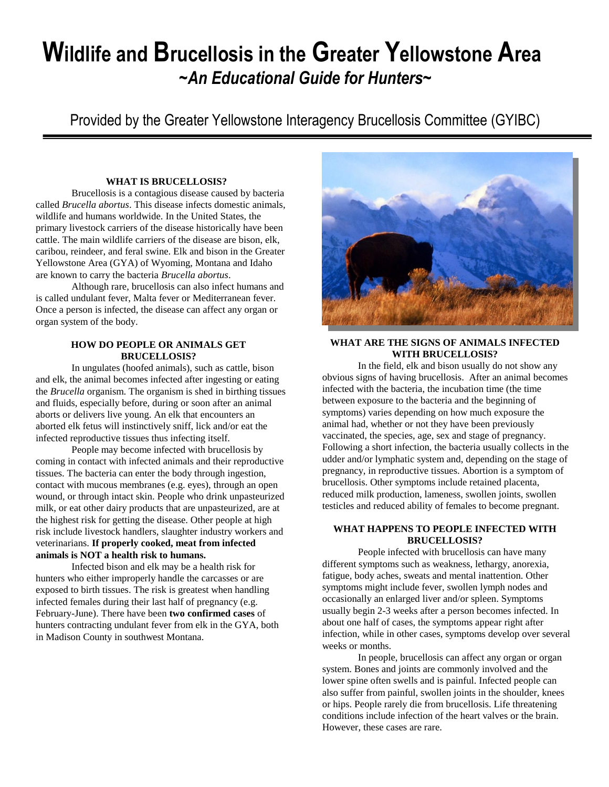# **Wildlife and Brucellosis in the Greater Yellowstone Area** *~An Educational Guide for Hunters~*

Provided by the Greater Yellowstone Interagency Brucellosis Committee (GYIBC)

#### **WHAT IS BRUCELLOSIS?**

Brucellosis is a contagious disease caused by bacteria called *Brucella abortus*. This disease infects domestic animals, wildlife and humans worldwide. In the United States, the primary livestock carriers of the disease historically have been cattle. The main wildlife carriers of the disease are bison, elk, caribou, reindeer, and feral swine. Elk and bison in the Greater Yellowstone Area (GYA) of Wyoming, Montana and Idaho are known to carry the bacteria *Brucella abortus*.

Although rare, brucellosis can also infect humans and is called undulant fever, Malta fever or Mediterranean fever. Once a person is infected, the disease can affect any organ or organ system of the body.

## **HOW DO PEOPLE OR ANIMALS GET BRUCELLOSIS?**

In ungulates (hoofed animals), such as cattle, bison and elk, the animal becomes infected after ingesting or eating the *Brucella* organism. The organism is shed in birthing tissues and fluids, especially before, during or soon after an animal aborts or delivers live young. An elk that encounters an aborted elk fetus will instinctively sniff, lick and/or eat the infected reproductive tissues thus infecting itself.

People may become infected with brucellosis by coming in contact with infected animals and their reproductive tissues. The bacteria can enter the body through ingestion, contact with mucous membranes (e.g. eyes), through an open wound, or through intact skin. People who drink unpasteurized milk, or eat other dairy products that are unpasteurized, are at the highest risk for getting the disease. Other people at high risk include livestock handlers, slaughter industry workers and veterinarians. **If properly cooked, meat from infected animals is NOT a health risk to humans.**

Infected bison and elk may be a health risk for hunters who either improperly handle the carcasses or are exposed to birth tissues. The risk is greatest when handling infected females during their last half of pregnancy (e.g. February-June). There have been **two confirmed cases** of hunters contracting undulant fever from elk in the GYA, both in Madison County in southwest Montana.



### **WHAT ARE THE SIGNS OF ANIMALS INFECTED WITH BRUCELLOSIS?**

In the field, elk and bison usually do not show any obvious signs of having brucellosis. After an animal becomes infected with the bacteria, the incubation time (the time between exposure to the bacteria and the beginning of symptoms) varies depending on how much exposure the animal had, whether or not they have been previously vaccinated, the species, age, sex and stage of pregnancy. Following a short infection, the bacteria usually collects in the udder and/or lymphatic system and, depending on the stage of pregnancy, in reproductive tissues. Abortion is a symptom of brucellosis. Other symptoms include retained placenta, reduced milk production, lameness, swollen joints, swollen testicles and reduced ability of females to become pregnant.

#### **WHAT HAPPENS TO PEOPLE INFECTED WITH BRUCELLOSIS?**

People infected with brucellosis can have many different symptoms such as weakness, lethargy, anorexia, fatigue, body aches, sweats and mental inattention. Other symptoms might include fever, swollen lymph nodes and occasionally an enlarged liver and/or spleen. Symptoms usually begin 2-3 weeks after a person becomes infected. In about one half of cases, the symptoms appear right after infection, while in other cases, symptoms develop over several weeks or months.

In people, brucellosis can affect any organ or organ system. Bones and joints are commonly involved and the lower spine often swells and is painful. Infected people can also suffer from painful, swollen joints in the shoulder, knees or hips. People rarely die from brucellosis. Life threatening conditions include infection of the heart valves or the brain. However, these cases are rare.